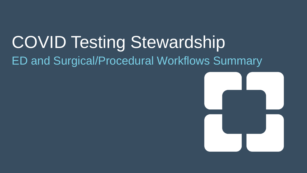## COVID Testing Stewardship ED and Surgical/Procedural Workflows Summary

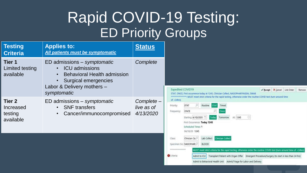## Rapid COVID-19 Testing: ED Priority Groups

| <b>Testing</b><br><b>Criteria</b>                  | <b>Applies to:</b><br>All patients must be symptomatic                                                                                                          | <b>Status</b>                         |                                                                                                                                                                                                                                                                                                                                                                                                                                                                             |
|----------------------------------------------------|-----------------------------------------------------------------------------------------------------------------------------------------------------------------|---------------------------------------|-----------------------------------------------------------------------------------------------------------------------------------------------------------------------------------------------------------------------------------------------------------------------------------------------------------------------------------------------------------------------------------------------------------------------------------------------------------------------------|
| Tier 1<br>Limited testing<br>available             | ED admissions – symptomatic<br><b>ICU</b> admissions<br><b>Behavioral Health admission</b><br>Surgical emergencies<br>Labor & Delivery mothers -<br>symptomatic | Complete                              | <b>Expedited COVID19</b><br>Bccept X Cancel Link Order<br>Remove<br>STAT, ONCE, First occurrence today at 1245, Clinician Collect, NASOPHARYNGEAL SWAB                                                                                                                                                                                                                                                                                                                      |
| <b>Tier 2</b><br>Increased<br>testing<br>available | ED admissions – symptomatic<br><b>SNF</b> transfers<br>Cancer/immunocompromised                                                                                 | Complete -<br>live as of<br>4/13/2020 | $of < 24$ hrs)<br><b>STAT</b><br>Routine<br>Timed<br>Priority:<br><b>STAT</b><br>ONCE<br>Once<br>Frequency:<br>Starting: 4/10/2020<br>At: 1245<br>Tomorrow<br>Today<br>First Occurrence: Today 1245<br>Scheduled Times &<br>04/10/20 1245                                                                                                                                                                                                                                   |
|                                                    |                                                                                                                                                                 |                                       | <b>Clinician Collect</b><br>Lab Collect<br>Clinician Co.<br>Class:<br>Specimen Src: NASOPHAR<br><b>BLOOD</b><br><b><i>BERBERERRESEREES</i></b><br>MUST meet strict criteria for the rapid testing, otherwise order the routine COVID test (turn-around time of <24hrs)<br>Criteria:<br>Admit to ICU<br>Transplant Patient with Organ Offer Emergent Procedure/Surgery (to start in less than 24 hrs)<br>Admit to Behavioral Health Unit Admit/Triage for Labor and Delivery |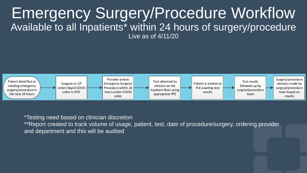### Emergency Surgery/Procedure Workflow Available to all Inpatients\* within 24 hours of surgery/procedure Live as of  $4/11/20$  $\blacksquare$ Inpatient Emergency Surgery and Interventional Radiology Workflow Workflow (Ancy Surger<br>The all Inpatients\* with<br>Live



\*Testing need based on clinician discretion

\*\*Report created to track volume of usage, patient, test, date of procedure/surgery, ordering provider and department and this will be audited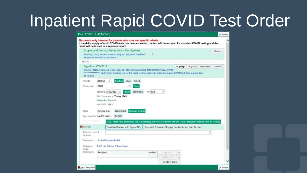# Inpatient Rapid COVID Test Order

|                                           | This test is only intended for patients who have met specific criteria.<br>If the daily supply of rapid COVID tests has been exceeded, the test will be rerouted for standard COVID testing and the<br>result will be issued in a separate report. |                                                                                                                      |                          |          |                                                           |                 |          |            |        |
|-------------------------------------------|----------------------------------------------------------------------------------------------------------------------------------------------------------------------------------------------------------------------------------------------------|----------------------------------------------------------------------------------------------------------------------|--------------------------|----------|-----------------------------------------------------------|-----------------|----------|------------|--------|
|                                           | Droplet and Contact Precautions - Plus Eyewear                                                                                                                                                                                                     |                                                                                                                      |                          |          |                                                           |                 |          |            | Remove |
|                                           | Routine, CONT, First occurrence today at 1245, Until Specified<br>Reason for isolation: Coronavirus                                                                                                                                                |                                                                                                                      |                          | P        |                                                           |                 |          |            |        |
| ca And                                    |                                                                                                                                                                                                                                                    |                                                                                                                      |                          |          |                                                           |                 |          |            |        |
| <b>Expedited COVID19</b><br>$of < 24$ hrs | Routine, ONCE, First occurrence today at 1245, Clinician Collect, NASOPHARYNGEAL SWAB<br>************************ MUST meet strict criteria for the rapid testing, otherwise order the routine COVID test (turn-around time                        |                                                                                                                      |                          |          |                                                           | $\sqrt{$ Accept | X Cancel | Link Order | Remove |
| Priority:                                 | Ω<br>Routine                                                                                                                                                                                                                                       | Routine<br><b>STAT</b>                                                                                               | Timed                    |          |                                                           |                 |          |            |        |
| Frequency:                                | ONCE                                                                                                                                                                                                                                               | Ω                                                                                                                    | Once                     |          |                                                           |                 |          |            |        |
|                                           | Starting: 4/10/2020                                                                                                                                                                                                                                | Today                                                                                                                | Tomorrow                 | At: 1245 | ø                                                         |                 |          |            |        |
|                                           | First Occurrence: Today 1245                                                                                                                                                                                                                       |                                                                                                                      |                          |          |                                                           |                 |          |            |        |
|                                           |                                                                                                                                                                                                                                                    |                                                                                                                      |                          |          |                                                           |                 |          |            |        |
|                                           | Scheduled Times &                                                                                                                                                                                                                                  |                                                                                                                      |                          |          |                                                           |                 |          |            |        |
|                                           | 04/10/20 1245                                                                                                                                                                                                                                      |                                                                                                                      |                          |          |                                                           |                 |          |            |        |
|                                           |                                                                                                                                                                                                                                                    |                                                                                                                      |                          |          |                                                           |                 |          |            |        |
| Class:                                    | Clinician Co.                                                                                                                                                                                                                                      | Lab Collect                                                                                                          | <b>Clinician Collect</b> |          |                                                           |                 |          |            |        |
|                                           | Specimen Src: NASOPHAR                                                                                                                                                                                                                             | <b>BLOOD</b>                                                                                                         |                          |          |                                                           |                 |          |            |        |
| <b>BSSSSSSSSSSSSSSSS</b>                  |                                                                                                                                                                                                                                                    | MUST meet strict criteria for the rapid testing, otherwise order the routine COVID test (turn-around time of <24hrs) |                          |          |                                                           |                 |          |            |        |
| Criteria:                                 |                                                                                                                                                                                                                                                    | Transplant Patient with Organ Offer                                                                                  |                          |          | Emergent Procedure/Surgery (to start in less than 24 hrs) |                 |          |            |        |
| Patient's current                         |                                                                                                                                                                                                                                                    |                                                                                                                      |                          |          |                                                           |                 |          | 5D.        |        |
| location                                  |                                                                                                                                                                                                                                                    |                                                                                                                      |                          |          |                                                           |                 |          |            |        |
| Comments:                                 | Add Comments (F6)                                                                                                                                                                                                                                  |                                                                                                                      |                          |          |                                                           |                 |          |            |        |
| Reference<br>Links:                       | 1. CC Lab Policies & Procedures                                                                                                                                                                                                                    |                                                                                                                      |                          |          |                                                           |                 |          |            |        |
| CC Results:                               | Recipient                                                                                                                                                                                                                                          |                                                                                                                      |                          | Modifier | Add PCP                                                   | $\omega$        |          |            |        |
|                                           |                                                                                                                                                                                                                                                    |                                                                                                                      |                          |          | Add My List                                               | $\checkmark$    |          |            |        |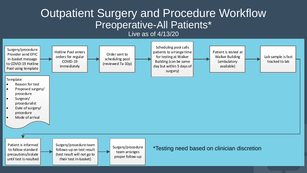# **Cutpatient Surgery and Procedure Workflow** Preoperative-All Patients\* ient Surgery and P<br>Preoperative-All<br>Live as of 4/13

Live as of 4/13/20

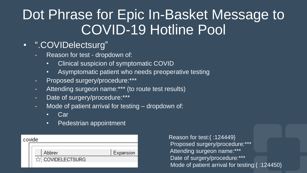### Dot Phrase for Epic In-Basket Message to COVID-19 Hotline Pool

#### • ".COVIDelectsurg"

- Reason for test dropdown of:
	- Clinical suspicion of symptomatic COVID
	- Asymptomatic patient who needs preoperative testing
- Proposed surgery/procedure:\*\*\*
- Attending surgeon name: \*\*\* (to route test results)
- Date of surgery/procedure:\*\*\*
- Mode of patient arrival for testing dropdown of:
	- Car
	- Pedestrian appointment

| covide |                          |           |
|--------|--------------------------|-----------|
|        | Abbrev                   | Expansion |
|        | <b>AT COVIDELECTSURG</b> |           |

Reason for test:{ :124449} Proposed surgery/procedure:\*\*\* Attending surgeon name:\*\*\* Date of surgery/procedure:\*\*\* Mode of patient arrival for testing:{ :124450}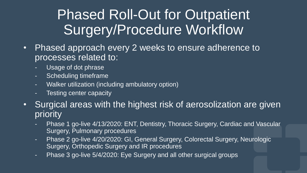## Phased Roll-Out for Outpatient Surgery/Procedure Workflow

- Phased approach every 2 weeks to ensure adherence to processes related to:
	- Usage of dot phrase
	- Scheduling timeframe
	- Walker utilization (including ambulatory option)
	- Testing center capacity
- Surgical areas with the highest risk of aerosolization are given priority
	- Phase 1 go-live 4/13/2020: ENT, Dentistry, Thoracic Surgery, Cardiac and Vascular Surgery, Pulmonary procedures
	- Phase 2 go-live 4/20/2020: GI, General Surgery, Colorectal Surgery, Neurologic Surgery, Orthopedic Surgery and IR procedures
	- Phase 3 go-live 5/4/2020: Eye Surgery and all other surgical groups